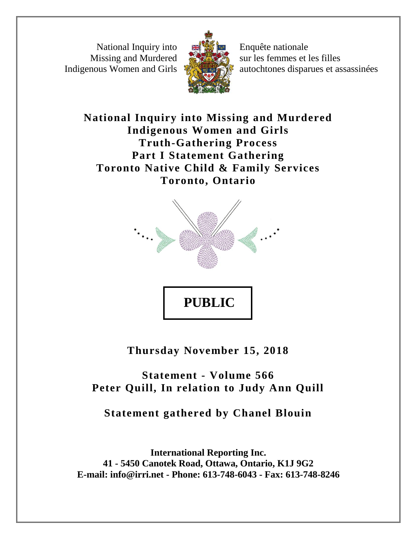National Inquiry into Missing and Murdered Indigenous Women and Girls



Enquête nationale sur les femmes et les filles autochtones disparues et assassinées

**National Inquiry into Missing and Murdered Indigenous Women and Girls Truth-Gathering Process Part I Statement Gathering Toronto Native Child & Family Services Toronto, Ontario**



**Thursday November 15, 2018**

**Statement - Volume 566 Peter Quill, In relation to Judy Ann Quill**

**Statement gathered by Chanel Blouin**

**International Reporting Inc. 41 - 5450 Canotek Road, Ottawa, Ontario, K1J 9G2 E-mail: info@irri.net - Phone: 613-748-6043 - Fax: 613-748-8246**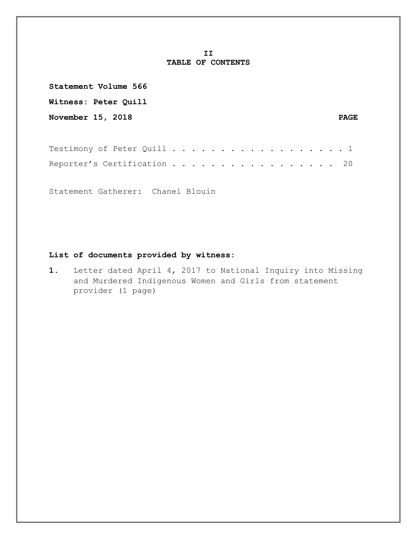## **II TABLE OF CONTENTS**

| Statement Volume 566        |             |
|-----------------------------|-------------|
| <b>Witness: Peter Quill</b> |             |
| <b>November 15, 2018</b>    | <b>PAGE</b> |
|                             |             |

| Testimony of Peter Quill 1  |  |  |  |  |  |  |  |  |  |  |  |
|-----------------------------|--|--|--|--|--|--|--|--|--|--|--|
| Reporter's Certification 20 |  |  |  |  |  |  |  |  |  |  |  |

Statement Gatherer: Chanel Blouin

## **List of documents provided by witness:**

**1.** Letter dated April 4, 2017 to National Inquiry into Missing and Murdered Indigenous Women and Girls from statement provider (1 page)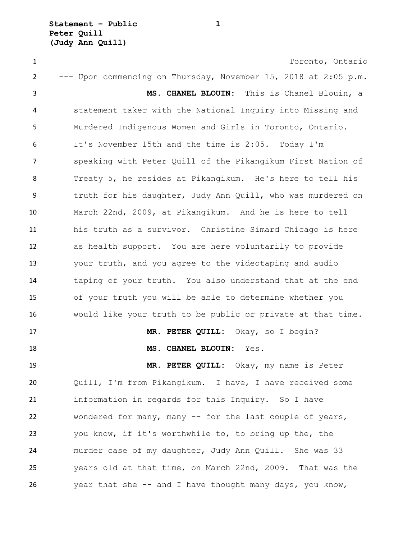**Statement – Public 1 Peter Quill (Judy Ann Quill)**

 Toronto, Ontario --- Upon commencing on Thursday, November 15, 2018 at 2:05 p.m. **MS. CHANEL BLOUIN:** This is Chanel Blouin, a statement taker with the National Inquiry into Missing and Murdered Indigenous Women and Girls in Toronto, Ontario. It's November 15th and the time is 2:05. Today I'm speaking with Peter Quill of the Pikangikum First Nation of Treaty 5, he resides at Pikangikum. He's here to tell his truth for his daughter, Judy Ann Quill, who was murdered on March 22nd, 2009, at Pikangikum. And he is here to tell his truth as a survivor. Christine Simard Chicago is here as health support. You are here voluntarily to provide your truth, and you agree to the videotaping and audio taping of your truth. You also understand that at the end of your truth you will be able to determine whether you would like your truth to be public or private at that time. **MR. PETER QUILL:** Okay, so I begin? **MS. CHANEL BLOUIN:** Yes. **MR. PETER QUILL:** Okay, my name is Peter Quill, I'm from Pikangikum. I have, I have received some information in regards for this Inquiry. So I have wondered for many, many -- for the last couple of years, you know, if it's worthwhile to, to bring up the, the murder case of my daughter, Judy Ann Quill. She was 33 years old at that time, on March 22nd, 2009. That was the year that she -- and I have thought many days, you know,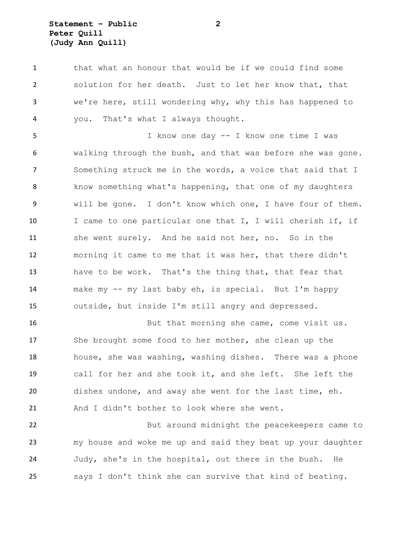## **Statement – Public 2 Peter Quill (Judy Ann Quill)**

1 that what an honour that would be if we could find some solution for her death. Just to let her know that, that we're here, still wondering why, why this has happened to you. That's what I always thought.

 I know one day -- I know one time I was walking through the bush, and that was before she was gone. Something struck me in the words, a voice that said that I know something what's happening, that one of my daughters will be gone. I don't know which one, I have four of them. 10 I came to one particular one that I, I will cherish if, if she went surely. And he said not her, no. So in the morning it came to me that it was her, that there didn't have to be work. That's the thing that, that fear that make my -- my last baby eh, is special. But I'm happy outside, but inside I'm still angry and depressed.

 But that morning she came, come visit us. She brought some food to her mother, she clean up the house, she was washing, washing dishes. There was a phone call for her and she took it, and she left. She left the dishes undone, and away she went for the last time, eh. 21 And I didn't bother to look where she went.

 But around midnight the peacekeepers came to my house and woke me up and said they beat up your daughter Judy, she's in the hospital, out there in the bush. He says I don't think she can survive that kind of beating.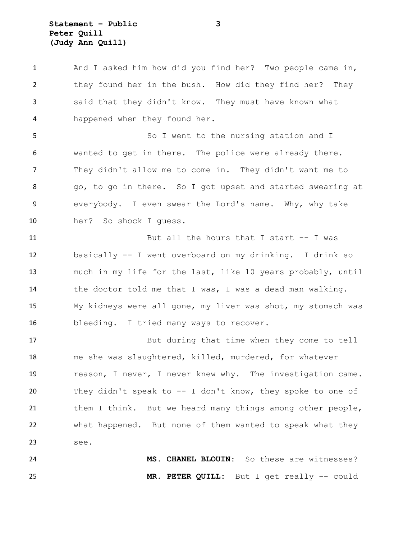**Statement – Public 3 Peter Quill (Judy Ann Quill)**

 And I asked him how did you find her? Two people came in, they found her in the bush. How did they find her? They said that they didn't know. They must have known what happened when they found her.

 So I went to the nursing station and I wanted to get in there. The police were already there. They didn't allow me to come in. They didn't want me to 8 go, to go in there. So I got upset and started swearing at everybody. I even swear the Lord's name. Why, why take her? So shock I guess.

 But all the hours that I start -- I was basically -- I went overboard on my drinking. I drink so much in my life for the last, like 10 years probably, until the doctor told me that I was, I was a dead man walking. My kidneys were all gone, my liver was shot, my stomach was bleeding. I tried many ways to recover.

 But during that time when they come to tell me she was slaughtered, killed, murdered, for whatever 19 reason, I never, I never knew why. The investigation came. They didn't speak to -- I don't know, they spoke to one of 21 them I think. But we heard many things among other people, what happened. But none of them wanted to speak what they see.

 **MS. CHANEL BLOUIN:** So these are witnesses? **MR. PETER QUILL:** But I get really -- could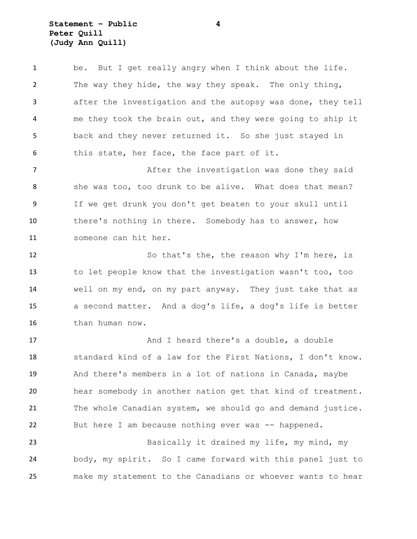**Statement – Public 4 Peter Quill (Judy Ann Quill)**

 be. But I get really angry when I think about the life. The way they hide, the way they speak. The only thing, after the investigation and the autopsy was done, they tell me they took the brain out, and they were going to ship it back and they never returned it. So she just stayed in this state, her face, the face part of it. **After the investigation was done they said** 8 she was too, too drunk to be alive. What does that mean?

 If we get drunk you don't get beaten to your skull until 10 there's nothing in there. Somebody has to answer, how someone can hit her.

12 So that's the, the reason why I'm here, is to let people know that the investigation wasn't too, too well on my end, on my part anyway. They just take that as a second matter. And a dog's life, a dog's life is better than human now.

17 And I heard there's a double, a double standard kind of a law for the First Nations, I don't know. And there's members in a lot of nations in Canada, maybe hear somebody in another nation get that kind of treatment. 21 The whole Canadian system, we should go and demand justice. 22 But here I am because nothing ever was -- happened.

23 Basically it drained my life, my mind, my body, my spirit. So I came forward with this panel just to make my statement to the Canadians or whoever wants to hear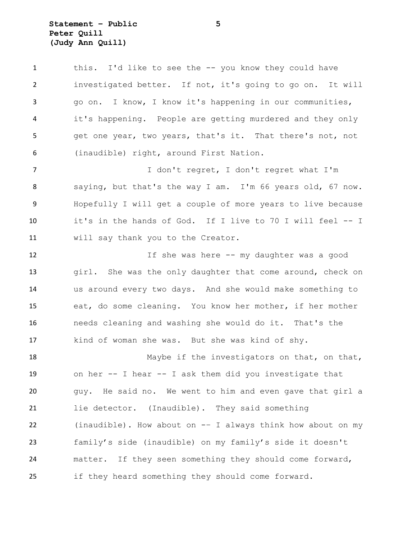**Statement – Public 5 Peter Quill (Judy Ann Quill)**

 this. I'd like to see the -- you know they could have investigated better. If not, it's going to go on. It will go on. I know, I know it's happening in our communities, it's happening. People are getting murdered and they only get one year, two years, that's it. That there's not, not (inaudible) right, around First Nation. I don't regret, I don't regret what I'm saying, but that's the way I am. I'm 66 years old, 67 now. Hopefully I will get a couple of more years to live because it's in the hands of God. If I live to 70 I will feel -- I will say thank you to the Creator. If she was here -- my daughter was a good 13 girl. She was the only daughter that come around, check on us around every two days. And she would make something to eat, do some cleaning. You know her mother, if her mother needs cleaning and washing she would do it. That's the kind of woman she was. But she was kind of shy. 18 Maybe if the investigators on that, on that, on her -- I hear -- I ask them did you investigate that guy. He said no. We went to him and even gave that girl a lie detector. (Inaudible). They said something (inaudible). How about on -– I always think how about on my family's side (inaudible) on my family's side it doesn't matter. If they seen something they should come forward, if they heard something they should come forward.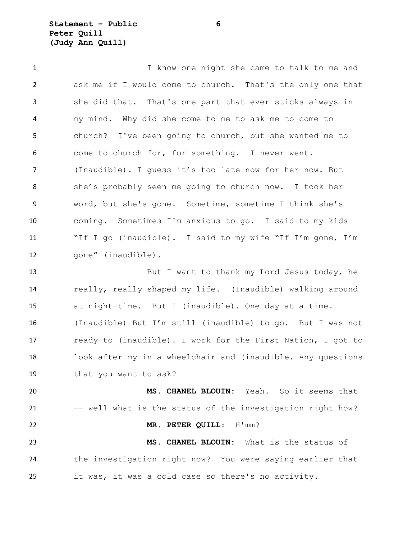**Statement – Public 6 Peter Quill (Judy Ann Quill)**

 I know one night she came to talk to me and ask me if I would come to church. That's the only one that she did that. That's one part that ever sticks always in my mind. Why did she come to me to ask me to come to church? I've been going to church, but she wanted me to come to church for, for something. I never went. (Inaudible). I guess it's too late now for her now. But she's probably seen me going to church now. I took her word, but she's gone. Sometime, sometime I think she's coming. Sometimes I'm anxious to go. I said to my kids "If I go (inaudible). I said to my wife "If I'm gone, I'm gone" (inaudible). But I want to thank my Lord Jesus today, he really, really shaped my life. (Inaudible) walking around

 (Inaudible) But I'm still (inaudible) to go. But I was not ready to (inaudible). I work for the First Nation, I got to look after my in a wheelchair and (inaudible. Any questions that you want to ask?

at night-time. But I (inaudible). One day at a time.

 **MS. CHANEL BLOUIN:** Yeah. So it seems that 21 -- well what is the status of the investigation right how? **MR. PETER QUILL:** H'mm? **MS. CHANEL BLOUIN:** What is the status of the investigation right now? You were saying earlier that it was, it was a cold case so there's no activity.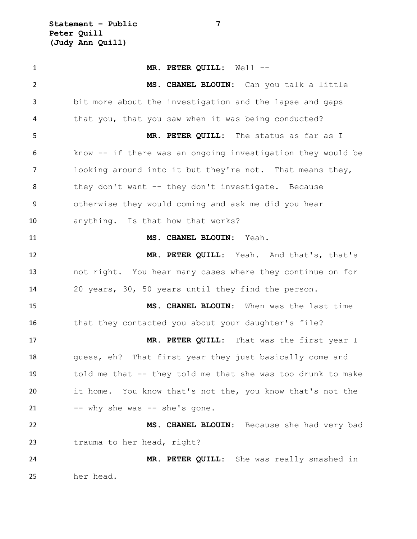**Statement – Public 7 Peter Quill (Judy Ann Quill)**

 **MR. PETER QUILL:** Well -- **MS. CHANEL BLOUIN:** Can you talk a little bit more about the investigation and the lapse and gaps that you, that you saw when it was being conducted? **MR. PETER QUILL:** The status as far as I know -- if there was an ongoing investigation they would be looking around into it but they're not. That means they, 8 they don't want -- they don't investigate. Because otherwise they would coming and ask me did you hear anything. Is that how that works? **MS. CHANEL BLOUIN:** Yeah. **MR. PETER QUILL:** Yeah. And that's, that's not right. You hear many cases where they continue on for 20 years, 30, 50 years until they find the person. **MS. CHANEL BLOUIN:** When was the last time 16 that they contacted you about your daughter's file? **MR. PETER QUILL:** That was the first year I 18 guess, eh? That first year they just basically come and told me that -- they told me that she was too drunk to make it home. You know that's not the, you know that's not the -- why she was -- she's gone. **MS. CHANEL BLOUIN:** Because she had very bad trauma to her head, right? **MR. PETER QUILL:** She was really smashed in her head.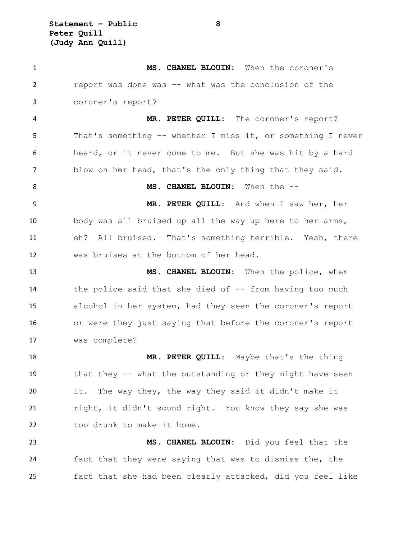**Statement – Public 8 Peter Quill (Judy Ann Quill)**

 **MS. CHANEL BLOUIN:** When the coroner's report was done was -- what was the conclusion of the coroner's report? **MR. PETER QUILL:** The coroner's report? That's something -- whether I miss it, or something I never heard, or it never come to me. But she was hit by a hard blow on her head, that's the only thing that they said. **MS. CHANEL BLOUIN:** When the -- **MR. PETER QUILL:** And when I saw her, her body was all bruised up all the way up here to her arms, eh? All bruised. That's something terrible. Yeah, there was bruises at the bottom of her head. **MS. CHANEL BLOUIN:** When the police, when 14 the police said that she died of -- from having too much alcohol in her system, had they seen the coroner's report or were they just saying that before the coroner's report was complete? 18 MR. PETER QUILL: Maybe that's the thing that they -- what the outstanding or they might have seen it. The way they, the way they said it didn't make it right, it didn't sound right. You know they say she was too drunk to make it home. **MS. CHANEL BLOUIN:** Did you feel that the fact that they were saying that was to dismiss the, the fact that she had been clearly attacked, did you feel like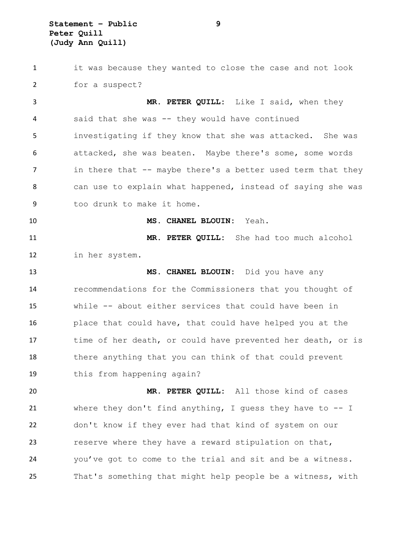**Statement – Public 9 Peter Quill (Judy Ann Quill)**

 it was because they wanted to close the case and not look for a suspect? **MR. PETER QUILL:** Like I said, when they said that she was -- they would have continued investigating if they know that she was attacked. She was attacked, she was beaten. Maybe there's some, some words 7 in there that -- maybe there's a better used term that they can use to explain what happened, instead of saying she was too drunk to make it home. **MS. CHANEL BLOUIN:** Yeah. **MR. PETER QUILL:** She had too much alcohol in her system. **MS. CHANEL BLOUIN:** Did you have any recommendations for the Commissioners that you thought of while -- about either services that could have been in place that could have, that could have helped you at the time of her death, or could have prevented her death, or is there anything that you can think of that could prevent this from happening again? **MR. PETER QUILL:** All those kind of cases where they don't find anything, I guess they have to -- I don't know if they ever had that kind of system on our reserve where they have a reward stipulation on that, you've got to come to the trial and sit and be a witness. That's something that might help people be a witness, with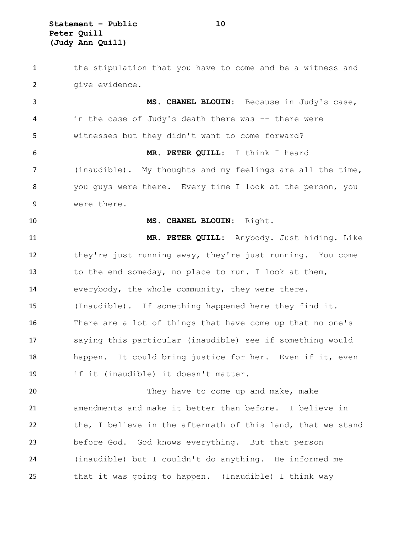**Statement – Public 10 Peter Quill (Judy Ann Quill)**

 the stipulation that you have to come and be a witness and 2 qive evidence. **MS. CHANEL BLOUIN:** Because in Judy's case, 4 in the case of Judy's death there was -- there were witnesses but they didn't want to come forward? **MR. PETER QUILL:** I think I heard (inaudible). My thoughts and my feelings are all the time, you guys were there. Every time I look at the person, you were there. **MS. CHANEL BLOUIN:** Right. **MR. PETER QUILL:** Anybody. Just hiding. Like they're just running away, they're just running. You come to the end someday, no place to run. I look at them, everybody, the whole community, they were there. (Inaudible). If something happened here they find it. There are a lot of things that have come up that no one's saying this particular (inaudible) see if something would happen. It could bring justice for her. Even if it, even if it (inaudible) it doesn't matter. 20 They have to come up and make, make amendments and make it better than before. I believe in the, I believe in the aftermath of this land, that we stand before God. God knows everything. But that person (inaudible) but I couldn't do anything. He informed me that it was going to happen. (Inaudible) I think way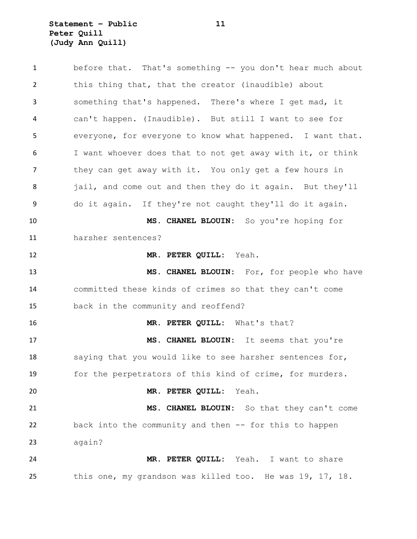**Statement – Public 11 Peter Quill (Judy Ann Quill)**

 before that. That's something -- you don't hear much about this thing that, that the creator (inaudible) about something that's happened. There's where I get mad, it can't happen. (Inaudible). But still I want to see for everyone, for everyone to know what happened. I want that. I want whoever does that to not get away with it, or think they can get away with it. You only get a few hours in 8 jail, and come out and then they do it again. But they'll do it again. If they're not caught they'll do it again. **MS. CHANEL BLOUIN:** So you're hoping for harsher sentences? **MR. PETER QUILL:** Yeah. **MS. CHANEL BLOUIN:** For, for people who have committed these kinds of crimes so that they can't come back in the community and reoffend? **MR. PETER QUILL:** What's that? **MS. CHANEL BLOUIN:** It seems that you're 18 saying that you would like to see harsher sentences for, for the perpetrators of this kind of crime, for murders. **MR. PETER QUILL:** Yeah. **MS. CHANEL BLOUIN:** So that they can't come back into the community and then -- for this to happen again? **MR. PETER QUILL:** Yeah. I want to share this one, my grandson was killed too. He was 19, 17, 18.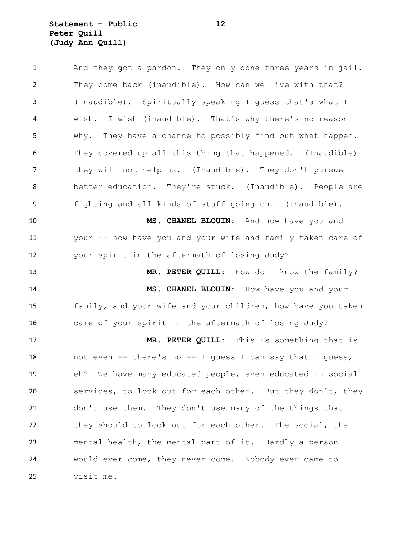## **Statement – Public 12 Peter Quill (Judy Ann Quill)**

 And they got a pardon. They only done three years in jail. They come back (inaudible). How can we live with that? (Inaudible). Spiritually speaking I guess that's what I wish. I wish (inaudible). That's why there's no reason why. They have a chance to possibly find out what happen. They covered up all this thing that happened. (Inaudible) they will not help us. (Inaudible). They don't pursue better education. They're stuck. (Inaudible). People are fighting and all kinds of stuff going on. (Inaudible). **MS. CHANEL BLOUIN:** And how have you and your -- how have you and your wife and family taken care of your spirit in the aftermath of losing Judy? 13 MR. PETER QUILL: How do I know the family? **MS. CHANEL BLOUIN:** How have you and your family, and your wife and your children, how have you taken care of your spirit in the aftermath of losing Judy? **MR. PETER QUILL:** This is something that is not even -- there's no -- I guess I can say that I guess, eh? We have many educated people, even educated in social services, to look out for each other. But they don't, they don't use them. They don't use many of the things that they should to look out for each other. The social, the mental health, the mental part of it. Hardly a person would ever come, they never come. Nobody ever came to visit me.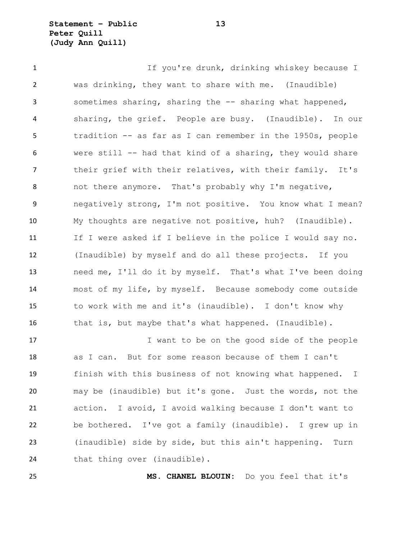**Statement – Public 13 Peter Quill (Judy Ann Quill)**

1 1 If you're drunk, drinking whiskey because I was drinking, they want to share with me. (Inaudible) sometimes sharing, sharing the -- sharing what happened, sharing, the grief. People are busy. (Inaudible). In our tradition -- as far as I can remember in the 1950s, people were still -- had that kind of a sharing, they would share their grief with their relatives, with their family. It's not there anymore. That's probably why I'm negative, negatively strong, I'm not positive. You know what I mean? My thoughts are negative not positive, huh? (Inaudible). If I were asked if I believe in the police I would say no. (Inaudible) by myself and do all these projects. If you need me, I'll do it by myself. That's what I've been doing most of my life, by myself. Because somebody come outside to work with me and it's (inaudible). I don't know why that is, but maybe that's what happened. (Inaudible). 17 17 I want to be on the good side of the people

 as I can. But for some reason because of them I can't finish with this business of not knowing what happened. I may be (inaudible) but it's gone. Just the words, not the action. I avoid, I avoid walking because I don't want to be bothered. I've got a family (inaudible). I grew up in (inaudible) side by side, but this ain't happening. Turn 24 that thing over (inaudible).

**MS. CHANEL BLOUIN:** Do you feel that it's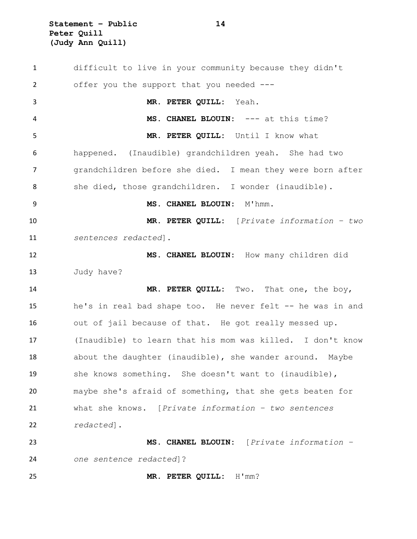**Statement – Public 14 Peter Quill (Judy Ann Quill)**

 difficult to live in your community because they didn't offer you the support that you needed --- **MR. PETER QUILL:** Yeah. **MS. CHANEL BLOUIN:** --- at this time? **MR. PETER QUILL:** Until I know what happened. (Inaudible) grandchildren yeah. She had two grandchildren before she died. I mean they were born after 8 she died, those grandchildren. I wonder (inaudible). **MS. CHANEL BLOUIN:** M'hmm. **MR. PETER QUILL:** [*Private information – two sentences redacted*]. **MS. CHANEL BLOUIN:** How many children did Judy have? **MR. PETER QUILL:** Two. That one, the boy, 15 he's in real bad shape too. He never felt -- he was in and out of jail because of that. He got really messed up. (Inaudible) to learn that his mom was killed. I don't know about the daughter (inaudible), she wander around. Maybe she knows something. She doesn't want to (inaudible), maybe she's afraid of something, that she gets beaten for what she knows. [*Private information – two sentences redacted*]. **MS. CHANEL BLOUIN:** [*Private information – one sentence redacted*]? **MR. PETER QUILL:** H'mm?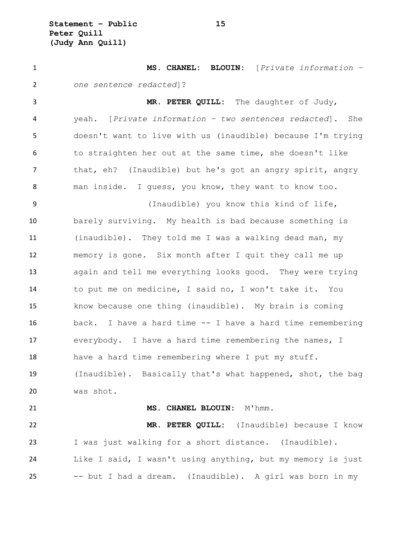**Statement – Public 15 Peter Quill (Judy Ann Quill)**

 **MS. CHANEL: BLOUIN:** [*Private information – one sentence redacted*]? **MR. PETER QUILL:** The daughter of Judy, yeah. [*Private information – two sentences redacted*]. She doesn't want to live with us (inaudible) because I'm trying to straighten her out at the same time, she doesn't like that, eh? (Inaudible) but he's got an angry spirit, angry man inside. I guess, you know, they want to know too. (Inaudible) you know this kind of life, barely surviving. My health is bad because something is (inaudible). They told me I was a walking dead man, my memory is gone. Six month after I quit they call me up again and tell me everything looks good. They were trying to put me on medicine, I said no, I won't take it. You know because one thing (inaudible). My brain is coming back. I have a hard time -- I have a hard time remembering everybody. I have a hard time remembering the names, I have a hard time remembering where I put my stuff. (Inaudible). Basically that's what happened, shot, the bag was shot. **MS. CHANEL BLOUIN:** M'hmm. **MR. PETER QUILL:** (Inaudible) because I know I was just walking for a short distance. (Inaudible). Like I said, I wasn't using anything, but my memory is just -- but I had a dream. (Inaudible). A girl was born in my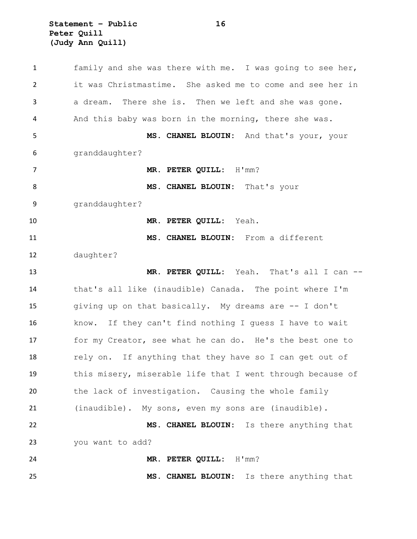**Statement – Public 16 Peter Quill (Judy Ann Quill)**

 family and she was there with me. I was going to see her, it was Christmastime. She asked me to come and see her in a dream. There she is. Then we left and she was gone. And this baby was born in the morning, there she was. **MS. CHANEL BLOUIN:** And that's your, your granddaughter? **MR. PETER QUILL:** H'mm? 8 MS. CHANEL BLOUIN: That's your granddaughter? **MR. PETER QUILL:** Yeah. **MS. CHANEL BLOUIN:** From a different daughter? **MR. PETER QUILL:** Yeah. That's all I can -- that's all like (inaudible) Canada. The point where I'm giving up on that basically. My dreams are -- I don't know. If they can't find nothing I guess I have to wait for my Creator, see what he can do. He's the best one to 18 rely on. If anything that they have so I can get out of this misery, miserable life that I went through because of the lack of investigation. Causing the whole family (inaudible). My sons, even my sons are (inaudible). **MS. CHANEL BLOUIN:** Is there anything that you want to add? **MR. PETER QUILL:** H'mm? **MS. CHANEL BLOUIN:** Is there anything that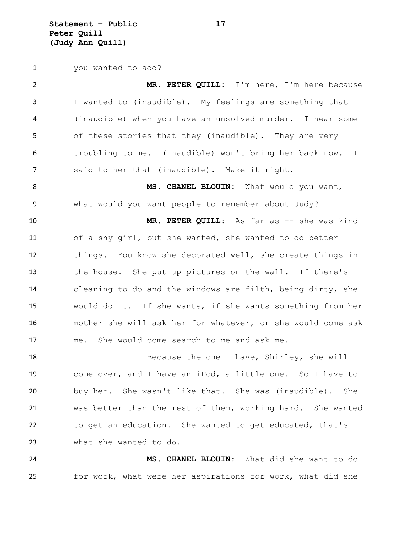**Statement – Public 17 Peter Quill (Judy Ann Quill)**

you wanted to add?

 **MR. PETER QUILL:** I'm here, I'm here because I wanted to (inaudible). My feelings are something that (inaudible) when you have an unsolved murder. I hear some of these stories that they (inaudible). They are very troubling to me. (Inaudible) won't bring her back now. I said to her that (inaudible). Make it right. 8 MS. CHANEL BLOUIN: What would you want, what would you want people to remember about Judy? **MR. PETER QUILL:** As far as -- she was kind of a shy girl, but she wanted, she wanted to do better things. You know she decorated well, she create things in the house. She put up pictures on the wall. If there's cleaning to do and the windows are filth, being dirty, she would do it. If she wants, if she wants something from her mother she will ask her for whatever, or she would come ask me. She would come search to me and ask me.

18 Because the one I have, Shirley, she will come over, and I have an iPod, a little one. So I have to buy her. She wasn't like that. She was (inaudible). She was better than the rest of them, working hard. She wanted to get an education. She wanted to get educated, that's what she wanted to do.

 **MS. CHANEL BLOUIN:** What did she want to do for work, what were her aspirations for work, what did she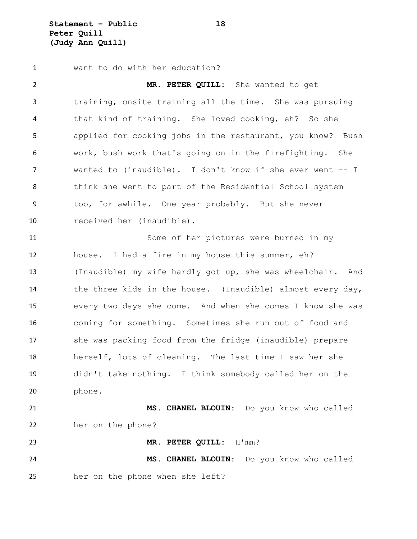**Statement – Public 18 Peter Quill (Judy Ann Quill)**

want to do with her education?

 **MR. PETER QUILL:** She wanted to get training, onsite training all the time. She was pursuing that kind of training. She loved cooking, eh? So she applied for cooking jobs in the restaurant, you know? Bush work, bush work that's going on in the firefighting. She wanted to (inaudible). I don't know if she ever went -- I think she went to part of the Residential School system too, for awhile. One year probably. But she never received her (inaudible). Some of her pictures were burned in my house. I had a fire in my house this summer, eh? (Inaudible) my wife hardly got up, she was wheelchair. And the three kids in the house. (Inaudible) almost every day, every two days she come. And when she comes I know she was

 coming for something. Sometimes she run out of food and she was packing food from the fridge (inaudible) prepare herself, lots of cleaning. The last time I saw her she didn't take nothing. I think somebody called her on the phone.

 **MS. CHANEL BLOUIN:** Do you know who called her on the phone?

**MR. PETER QUILL:** H'mm?

 **MS. CHANEL BLOUIN:** Do you know who called her on the phone when she left?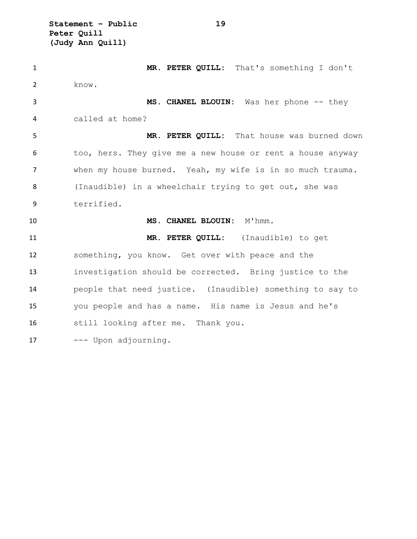**Statement – Public 19 Peter Quill (Judy Ann Quill)**

| $\mathbf{1}$   | MR. PETER QUILL: That's something I don't                  |
|----------------|------------------------------------------------------------|
| $\overline{2}$ | know.                                                      |
| 3              | MS. CHANEL BLOUIN: Was her phone -- they                   |
| 4              | called at home?                                            |
| 5              | MR. PETER QUILL: That house was burned down                |
| 6              | too, hers. They give me a new house or rent a house anyway |
| 7              | when my house burned. Yeah, my wife is in so much trauma.  |
| 8              | (Inaudible) in a wheelchair trying to get out, she was     |
| 9              | terrified.                                                 |
|                |                                                            |
| 10             | MS. CHANEL BLOUIN: M'hmm.                                  |
| 11             | MR. PETER QUILL: (Inaudible) to get                        |
| 12             | something, you know. Get over with peace and the           |
| 13             | investigation should be corrected. Bring justice to the    |
| 14             | people that need justice. (Inaudible) something to say to  |
| 15             | you people and has a name. His name is Jesus and he's      |
| 16             | still looking after me. Thank you.                         |